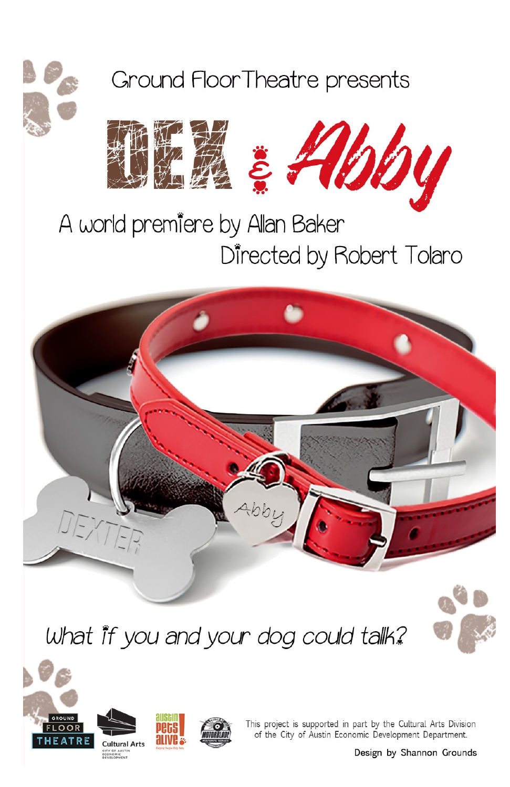

Ground FloorTheatre presents



# A world premiere by Allan Baker Directed by Robert Tolaro



What it you and your dog could tallk?







This project is supported in part by the Cultural Arts Division of the City of Austin Economic Development Department.

Design by Shannon Grounds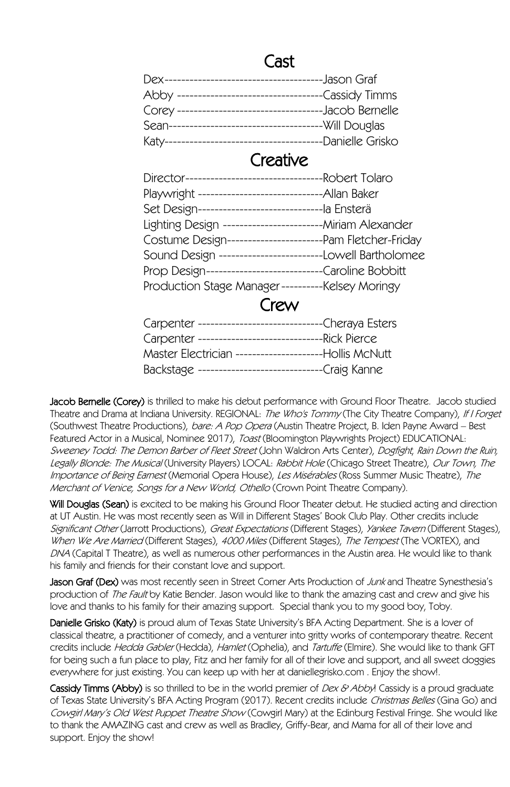## Cast

| Dex-----------------------------------  | -Jason Graf       |
|-----------------------------------------|-------------------|
| Abby -----------------------------      | --Cassidy Timms   |
| Corey --------------------------------- | -Jacob Bernelle   |
| Sean-------------------------------     | --Will Douglas    |
| Katy--------------------------------    | --Danielle Grisko |

### Creative

| Playwright --------------------------------Allan Baker     |  |
|------------------------------------------------------------|--|
| Set Design-------------------------------la Ensterä        |  |
| Lighting Design --------------------------Miriam Alexander |  |
| Costume Design-------------------------Pam Fletcher-Friday |  |
| Sound Design ------------------------Lowell Bartholomee    |  |
| Prop Design-----------------------------Caroline Bobbitt   |  |
| Production Stage Manager----------Kelsey Moringy           |  |
|                                                            |  |

## Crew

| Carpenter ----------------------------------Cheraya Esters |                   |
|------------------------------------------------------------|-------------------|
|                                                            |                   |
| Master Electrician ------------------------Hollis McNutt   |                   |
| Backstage --------------------                             | ------Craig Kanne |

**Jacob Bernelle (Corey)** is thrilled to make his debut performance with Ground Floor Theatre. Jacob studied Theatre and Drama at Indiana University. REGIONAL: The Who's Tommy (The City Theatre Company), If I Forget (Southwest Theatre Productions), bare: A Pop Opera (Austin Theatre Project, B. Iden Payne Award – Best Featured Actor in a Musical, Nominee 2017), Toast (Bloomington Playwrights Project) EDUCATIONAL: Sweeney Todd: The Demon Barber of Fleet Street (John Waldron Arts Center), Dogfight, Rain Down the Ruin, Legally Blonde: The Musical (University Players) LOCAL: Rabbit Hole (Chicago Street Theatre), Our Town, The Importance of Being Earnest (Memorial Opera House), Les Misérables (Ross Summer Music Theatre), The Merchant of Venice, Songs for a New World, Othello (Crown Point Theatre Company).

Will Douglas (Sean) is excited to be making his Ground Floor Theater debut. He studied acting and direction at UT Austin. He was most recently seen as Will in Different Stages' Book Club Play. Other credits include Significant Other (Jarrott Productions), Great Expectations (Different Stages), Yankee Tavern (Different Stages), When We Are Married (Different Stages), 4000 Miles (Different Stages), The Tempest (The VORTEX), and DNA (Capital T Theatre), as well as numerous other performances in the Austin area. He would like to thank his family and friends for their constant love and support.

**Jason Graf (Dex)** was most recently seen in Street Corner Arts Production of *Junk* and Theatre Synesthesia's production of *The Fault* by Katie Bender. Jason would like to thank the amazing cast and crew and give his love and thanks to his family for their amazing support. Special thank you to my good boy, Toby.

Danielle Grisko (Katy) is proud alum of Texas State University's BFA Acting Department. She is a lover of classical theatre, a practitioner of comedy, and a venturer into gritty works of contemporary theatre. Recent credits include *Hedda Gabler* (Hedda), *Hamlet* (Ophelia), and *Tartuffe* (Elmire), She would like to thank GFT for being such a fun place to play, Fitz and her family for all of their love and support, and all sweet doggies everywhere for just existing. You can keep up with her at daniellegrisko.com . Enjoy the show!.

Cassidy Timms (Abby) is so thrilled to be in the world premier of Dex & Abby! Cassidy is a proud graduate of Texas State University's BFA Acting Program (2017). Recent credits include Christmas Belles (Gina Go) and Cowgirl Mary's Old West Puppet Theatre Show (Cowgirl Mary) at the Edinburg Festival Fringe. She would like to thank the AMAZING cast and crew as well as Bradley, Griffy-Bear, and Mama for all of their love and support. Enjoy the show!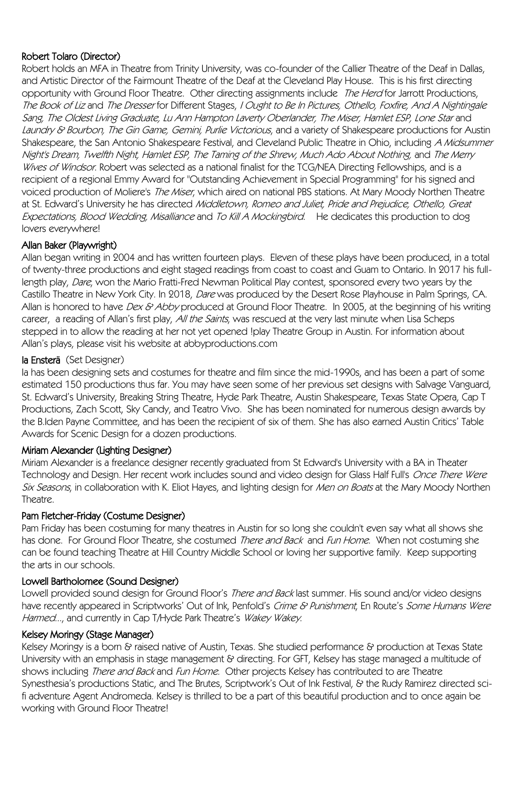#### Robert Tolaro (Director)

Robert holds an MFA in Theatre from Trinity University, was co-founder of the Callier Theatre of the Deaf in Dallas, and Artistic Director of the Fairmount Theatre of the Deaf at the Cleveland Play House. This is his first directing opportunity with Ground Floor Theatre. Other directing assignments include The Herd for Jarrott Productions, The Book of Liz and The Dresser for Different Stages, I Ought to Be In Pictures, Othello, Foxfire, And A Nightingale Sang, The Oldest Living Graduate, Lu Ann Hampton Laverty Oberlander, The Miser, Hamlet ESP, Lone Star and Laundry & Bourbon, The Gin Game, Gemini, Purlie Victorious, and a variety of Shakespeare productions for Austin Shakespeare, the San Antonio Shakespeare Festival, and Cleveland Public Theatre in Ohio, including A Midsummer Night's Dream, Twelfth Night, Hamlet ESP, The Taming of the Shrew, Much Ado About Nothing, and The Merry Wives of Windsor. Robert was selected as a national finalist for the TCG/NEA Directing Fellowships, and is a recipient of a regional Emmy Award for "Outstanding Achievement in Special Programming" for his signed and voiced production of Moliere's The Miser, which aired on national PBS stations. At Mary Moody Northen Theatre at St. Edward's University he has directed Middletown, Romeo and Juliet, Pride and Prejudice, Othello, Great Expectations, Blood Wedding, Misalliance and To Kill A Mockingbird. He dedicates this production to dog lovers everywhere!

#### Allan Baker (Playwright)

Allan began writing in 2004 and has written fourteen plays. Eleven of these plays have been produced, in a total of twenty-three productions and eight staged readings from coast to coast and Guam to Ontario. In 2017 his fulllength play, Dare, won the Mario Fratti-Fred Newman Political Play contest, sponsored every two years by the Castillo Theatre in New York City. In 2018, Dare was produced by the Desert Rose Playhouse in Palm Springs, CA. Allan is honored to have Dex & Abby produced at Ground Floor Theatre. In 2005, at the beginning of his writing career, a reading of Allan's first play, All the Saints, was rescued at the very last minute when Lisa Scheps stepped in to allow the reading at her not yet opened !play Theatre Group in Austin. For information about Allan's plays, please visit his website at abbyproductions.com

#### la Ensterä (Set Designer)

Ia has been designing sets and costumes for theatre and film since the mid-1990s, and has been a part of some estimated 150 productions thus far. You may have seen some of her previous set designs with Salvage Vanguard, St. Edward's University, Breaking String Theatre, Hyde Park Theatre, Austin Shakespeare, Texas State Opera, Cap T Productions, Zach Scott, Sky Candy, and Teatro Vivo. She has been nominated for numerous design awards by the B.Iden Payne Committee, and has been the recipient of six of them. She has also earned Austin Critics' Table Awards for Scenic Design for a dozen productions.

#### Miriam Alexander (Lighting Designer)

Miriam Alexander is a freelance designer recently graduated from St Edward's University with a BA in Theater Technology and Design. Her recent work includes sound and video design for Glass Half Full's *Once There Were* Six Seasons, in collaboration with K. Eliot Hayes, and lighting design for Men on Boats at the Mary Moody Northen **Theatre** 

#### Pam Fletcher-Friday (Costume Designer)

Pam Friday has been costuming for many theatres in Austin for so long she couldn't even say what all shows she has done. For Ground Floor Theatre, she costumed *There and Back* and Fun Home. When not costuming she can be found teaching Theatre at Hill Country Middle School or loving her supportive family. Keep supporting the arts in our schools.

#### Lowell Bartholomee (Sound Designer)

Lowell provided sound design for Ground Floor's There and Back last summer. His sound and/or video designs have recently appeared in Scriptworks' Out of Ink, Penfold's Crime & Punishment, En Route's Some Humans Were Harmed..., and currently in Cap T/Hyde Park Theatre's Wakey Wakey.

#### Kelsey Moringy (Stage Manager)

Kelsey Moringy is a born & raised native of Austin, Texas. She studied performance & production at Texas State University with an emphasis in stage management & directing. For GFT, Kelsey has stage managed a multitude of shows including There and Back and Fun Home. Other projects Kelsey has contributed to are Theatre Synesthesia's productions Static, and The Brutes, Scriptwork's Out of Ink Festival, & the Rudy Ramirez directed scifi adventure Agent Andromeda. Kelsey is thrilled to be a part of this beautiful production and to once again be working with Ground Floor Theatre!